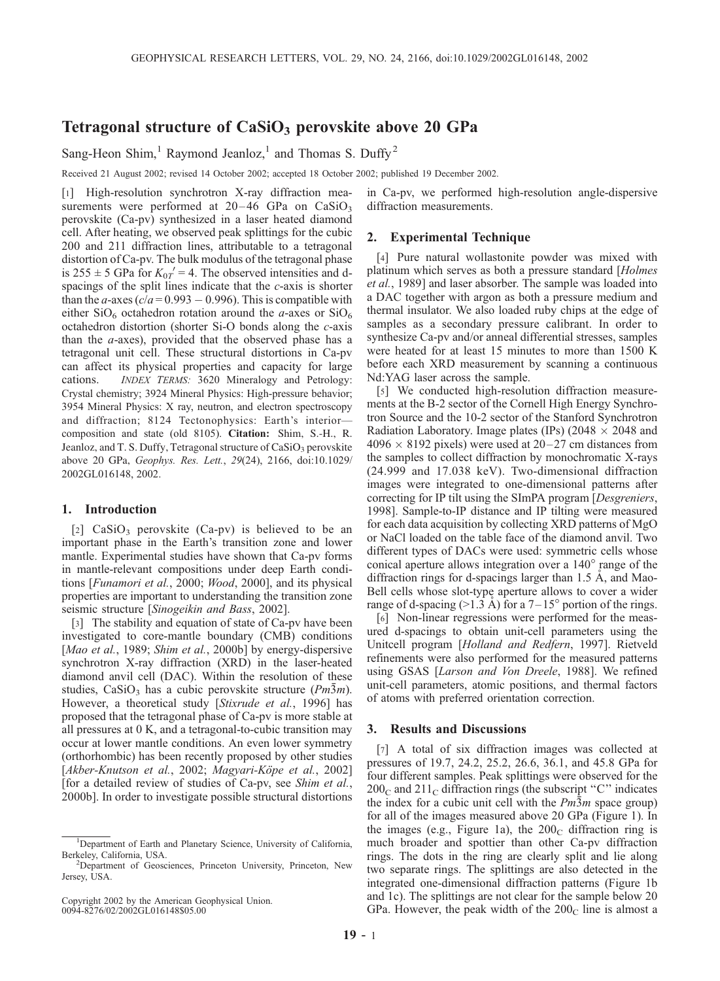# Tetragonal structure of  $CaSiO<sub>3</sub>$  perovskite above 20 GPa

Sang-Heon Shim,<sup>1</sup> Raymond Jeanloz,<sup>1</sup> and Thomas S. Duffy<sup>2</sup>

Received 21 August 2002; revised 14 October 2002; accepted 18 October 2002; published 19 December 2002.

[1] High-resolution synchrotron X-ray diffraction measurements were performed at  $20-46$  GPa on CaSiO<sub>3</sub> perovskite (Ca-pv) synthesized in a laser heated diamond cell. After heating, we observed peak splittings for the cubic 200 and 211 diffraction lines, attributable to a tetragonal distortion of Ca-pv. The bulk modulus of the tetragonal phase is 255  $\pm$  5 GPa for  $K_{0T}^{\prime}$  = 4. The observed intensities and dspacings of the split lines indicate that the  $c$ -axis is shorter than the *a*-axes ( $c/a = 0.993 - 0.996$ ). This is compatible with either  $SiO_6$  octahedron rotation around the *a*-axes or  $SiO_6$ octahedron distortion (shorter Si-O bonds along the c-axis than the  $a$ -axes), provided that the observed phase has a tetragonal unit cell. These structural distortions in Ca-pv can affect its physical properties and capacity for large cations. INDEX TERMS: 3620 Mineralogy and Petrology: Crystal chemistry; 3924 Mineral Physics: High-pressure behavior; 3954 Mineral Physics: X ray, neutron, and electron spectroscopy and diffraction; 8124 Tectonophysics: Earth's interior composition and state (old 8105). Citation: Shim, S.-H., R. Jeanloz, and T. S. Duffy, Tetragonal structure of CaSiO<sub>3</sub> perovskite above 20 GPa, Geophys. Res. Lett., 29(24), 2166, doi:10.1029/ 2002GL016148, 2002.

## 1. Introduction

[2]  $CaSiO<sub>3</sub>$  perovskite (Ca-pv) is believed to be an important phase in the Earth's transition zone and lower mantle. Experimental studies have shown that Ca-pv forms in mantle-relevant compositions under deep Earth conditions [Funamori et al., 2000; Wood, 2000], and its physical properties are important to understanding the transition zone seismic structure [Sinogeikin and Bass, 2002].

[3] The stability and equation of state of Ca-pv have been investigated to core-mantle boundary (CMB) conditions [Mao et al., 1989; Shim et al., 2000b] by energy-dispersive synchrotron X-ray diffraction (XRD) in the laser-heated diamond anvil cell (DAC). Within the resolution of these studies, CaSiO<sub>3</sub> has a cubic perovskite structure ( $Pm\overline{3}m$ ). However, a theoretical study [Stixrude et al., 1996] has proposed that the tetragonal phase of Ca-pv is more stable at all pressures at 0 K, and a tetragonal-to-cubic transition may occur at lower mantle conditions. An even lower symmetry (orthorhombic) has been recently proposed by other studies [Akber-Knutson et al., 2002; Magyari-Köpe et al., 2002] [for a detailed review of studies of Ca-pv, see Shim et al., 2000b]. In order to investigate possible structural distortions

Copyright 2002 by the American Geophysical Union. 0094-8276/02/2002GL016148\$05.00

in Ca-pv, we performed high-resolution angle-dispersive diffraction measurements.

#### 2. Experimental Technique

[4] Pure natural wollastonite powder was mixed with platinum which serves as both a pressure standard [Holmes et al., 1989] and laser absorber. The sample was loaded into a DAC together with argon as both a pressure medium and thermal insulator. We also loaded ruby chips at the edge of samples as a secondary pressure calibrant. In order to synthesize Ca-pv and/or anneal differential stresses, samples were heated for at least 15 minutes to more than 1500 K before each XRD measurement by scanning a continuous Nd:YAG laser across the sample.

[5] We conducted high-resolution diffraction measurements at the B-2 sector of the Cornell High Energy Synchrotron Source and the 10-2 sector of the Stanford Synchrotron Radiation Laboratory. Image plates (IPs) (2048  $\times$  2048 and  $4096 \times 8192$  pixels) were used at  $20-27$  cm distances from the samples to collect diffraction by monochromatic X-rays (24.999 and 17.038 keV). Two-dimensional diffraction images were integrated to one-dimensional patterns after correcting for IP tilt using the SImPA program [Desgreniers, 1998]. Sample-to-IP distance and IP tilting were measured for each data acquisition by collecting XRD patterns of MgO or NaCl loaded on the table face of the diamond anvil. Two different types of DACs were used: symmetric cells whose conical aperture allows integration over a  $140^{\circ}$  range of the diffraction rings for d-spacings larger than  $1.5$  A, and Mao-Bell cells whose slot-type aperture allows to cover a wider range of d-spacing (>1.3 A) for a  $7-15^{\circ}$  portion of the rings.

[6] Non-linear regressions were performed for the measured d-spacings to obtain unit-cell parameters using the Unitcell program [Holland and Redfern, 1997]. Rietveld refinements were also performed for the measured patterns using GSAS [Larson and Von Dreele, 1988]. We refined unit-cell parameters, atomic positions, and thermal factors of atoms with preferred orientation correction.

### 3. Results and Discussions

[7] A total of six diffraction images was collected at pressures of 19.7, 24.2, 25.2, 26.6, 36.1, and 45.8 GPa for four different samples. Peak splittings were observed for the  $200<sub>C</sub>$  and  $211<sub>C</sub>$  diffraction rings (the subscript "C" indicates the index for a cubic unit cell with the  $Pm3m$  space group) for all of the images measured above 20 GPa (Figure 1). In the images (e.g., Figure 1a), the  $200<sub>C</sub>$  diffraction ring is much broader and spottier than other Ca-pv diffraction rings. The dots in the ring are clearly split and lie along two separate rings. The splittings are also detected in the integrated one-dimensional diffraction patterns (Figure 1b and 1c). The splittings are not clear for the sample below 20 GPa. However, the peak width of the  $200<sub>C</sub>$  line is almost a

<sup>&</sup>lt;sup>1</sup>Department of Earth and Planetary Science, University of California, Berkeley, California, USA. <sup>2</sup>

Department of Geosciences, Princeton University, Princeton, New Jersey, USA.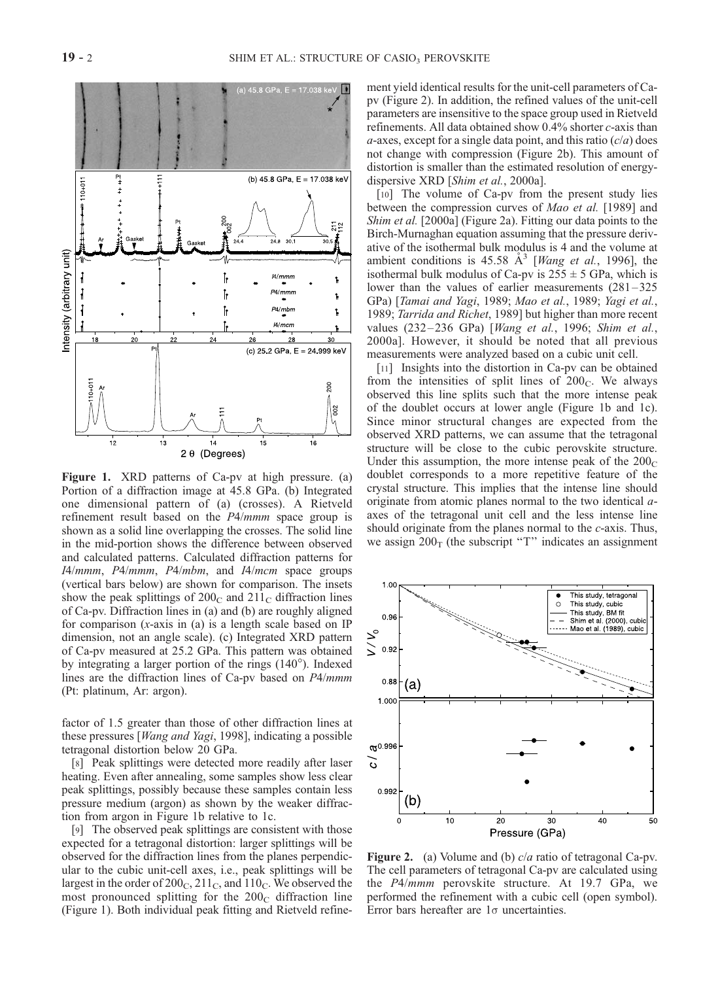

Figure 1. XRD patterns of Ca-pv at high pressure. (a) Portion of a diffraction image at 45.8 GPa. (b) Integrated one dimensional pattern of (a) (crosses). A Rietveld refinement result based on the P4/mmm space group is shown as a solid line overlapping the crosses. The solid line in the mid-portion shows the difference between observed and calculated patterns. Calculated diffraction patterns for I4/mmm, P4/mmm, P4/mbm, and I4/mcm space groups (vertical bars below) are shown for comparison. The insets show the peak splittings of  $200<sub>C</sub>$  and  $211<sub>C</sub>$  diffraction lines of Ca-pv. Diffraction lines in (a) and (b) are roughly aligned for comparison  $(x-axis)$  in (a) is a length scale based on IP dimension, not an angle scale). (c) Integrated XRD pattern of Ca-pv measured at 25.2 GPa. This pattern was obtained by integrating a larger portion of the rings (140°). Indexed lines are the diffraction lines of Ca-pv based on P4/mmm (Pt: platinum, Ar: argon).

factor of 1.5 greater than those of other diffraction lines at these pressures [Wang and Yagi, 1998], indicating a possible tetragonal distortion below 20 GPa.

[8] Peak splittings were detected more readily after laser heating. Even after annealing, some samples show less clear peak splittings, possibly because these samples contain less pressure medium (argon) as shown by the weaker diffraction from argon in Figure 1b relative to 1c.

[9] The observed peak splittings are consistent with those expected for a tetragonal distortion: larger splittings will be observed for the diffraction lines from the planes perpendicular to the cubic unit-cell axes, i.e., peak splittings will be largest in the order of  $200<sub>C</sub>$ ,  $211<sub>C</sub>$ , and  $110<sub>C</sub>$ . We observed the most pronounced splitting for the  $200<sub>C</sub>$  diffraction line (Figure 1). Both individual peak fitting and Rietveld refinement yield identical results for the unit-cell parameters of Capv (Figure 2). In addition, the refined values of the unit-cell parameters are insensitive to the space group used in Rietveld refinements. All data obtained show 0.4% shorter c-axis than a-axes, except for a single data point, and this ratio  $(c/a)$  does not change with compression (Figure 2b). This amount of distortion is smaller than the estimated resolution of energydispersive XRD [Shim et al., 2000a].

[10] The volume of Ca-pv from the present study lies between the compression curves of Mao et al. [1989] and Shim et al. [2000a] (Figure 2a). Fitting our data points to the Birch-Murnaghan equation assuming that the pressure derivative of the isothermal bulk modulus is 4 and the volume at ambient conditions is 45.58  $A^3$  [*Wang et al.*, 1996], the isothermal bulk modulus of Ca-pv is  $255 \pm 5$  GPa, which is lower than the values of earlier measurements  $(281-325)$ GPa) [Tamai and Yagi, 1989; Mao et al., 1989; Yagi et al., 1989; Tarrida and Richet, 1989] but higher than more recent values (232-236 GPa) [Wang et al., 1996; Shim et al., 2000a]. However, it should be noted that all previous measurements were analyzed based on a cubic unit cell.

[11] Insights into the distortion in Ca-pv can be obtained from the intensities of split lines of  $200<sub>C</sub>$ . We always observed this line splits such that the more intense peak of the doublet occurs at lower angle (Figure 1b and 1c). Since minor structural changes are expected from the observed XRD patterns, we can assume that the tetragonal structure will be close to the cubic perovskite structure. Under this assumption, the more intense peak of the  $200<sub>C</sub>$ doublet corresponds to a more repetitive feature of the crystal structure. This implies that the intense line should originate from atomic planes normal to the two identical aaxes of the tetragonal unit cell and the less intense line should originate from the planes normal to the *c*-axis. Thus, we assign  $200<sub>T</sub>$  (the subscript "T" indicates an assignment



Figure 2. (a) Volume and (b) *c/a* ratio of tetragonal Ca-pv. The cell parameters of tetragonal Ca-pv are calculated using the P4/mmm perovskite structure. At 19.7 GPa, we performed the refinement with a cubic cell (open symbol). Error bars hereafter are  $1\sigma$  uncertainties.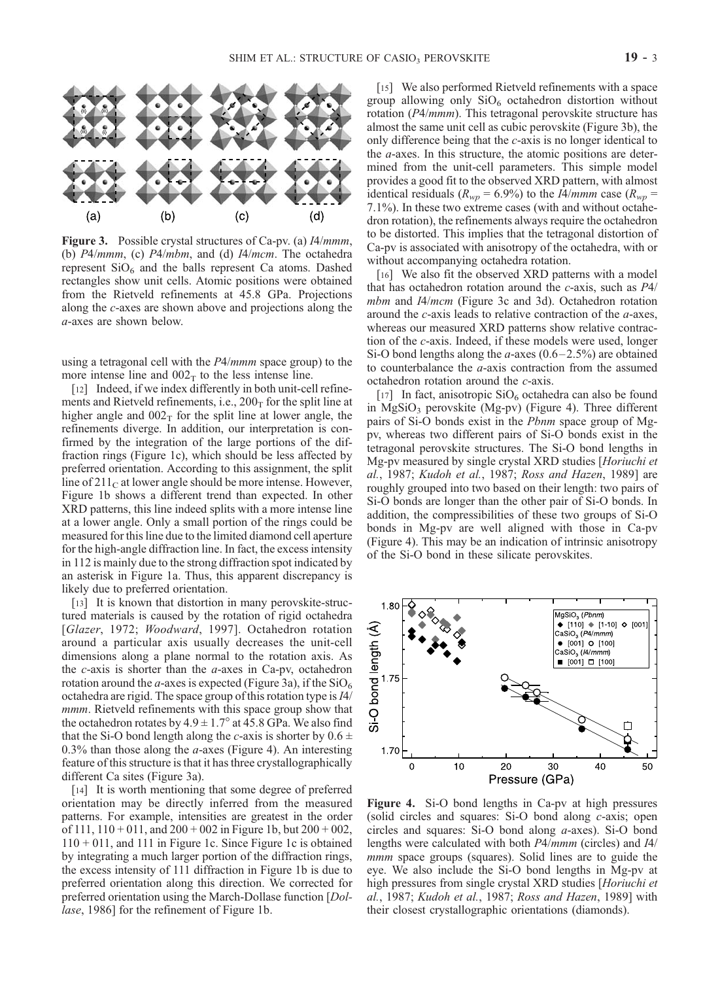

Figure 3. Possible crystal structures of Ca-pv. (a) I4/mmm, (b)  $P4/mmm$ , (c)  $P4/mbm$ , and (d)  $I4/mcm$ . The octahedra represent  $SiO<sub>6</sub>$  and the balls represent Ca atoms. Dashed rectangles show unit cells. Atomic positions were obtained from the Rietveld refinements at 45.8 GPa. Projections along the c-axes are shown above and projections along the a-axes are shown below.

using a tetragonal cell with the P4/mmm space group) to the more intense line and  $002<sub>T</sub>$  to the less intense line.

[12] Indeed, if we index differently in both unit-cell refinements and Rietveld refinements, i.e.,  $200<sub>T</sub>$  for the split line at higher angle and  $002<sub>T</sub>$  for the split line at lower angle, the refinements diverge. In addition, our interpretation is confirmed by the integration of the large portions of the diffraction rings (Figure 1c), which should be less affected by preferred orientation. According to this assignment, the split line of  $211<sub>C</sub>$  at lower angle should be more intense. However, Figure 1b shows a different trend than expected. In other XRD patterns, this line indeed splits with a more intense line at a lower angle. Only a small portion of the rings could be measured for this line due to the limited diamond cell aperture for the high-angle diffraction line. In fact, the excess intensity in 112 is mainly due to the strong diffraction spot indicated by an asterisk in Figure 1a. Thus, this apparent discrepancy is likely due to preferred orientation.

[13] It is known that distortion in many perovskite-structured materials is caused by the rotation of rigid octahedra [Glazer, 1972; Woodward, 1997]. Octahedron rotation around a particular axis usually decreases the unit-cell dimensions along a plane normal to the rotation axis. As the  $c$ -axis is shorter than the  $a$ -axes in Ca-pv, octahedron rotation around the a-axes is expected (Figure 3a), if the  $SiO<sub>6</sub>$ octahedra are rigid. The space group of this rotation type is I4/ mmm. Rietveld refinements with this space group show that the octahedron rotates by  $4.9 \pm 1.7^\circ$  at 45.8 GPa. We also find that the Si-O bond length along the c-axis is shorter by  $0.6 \pm$ 0.3% than those along the  $a$ -axes (Figure 4). An interesting feature of this structure is that it has three crystallographically different Ca sites (Figure 3a).

[14] It is worth mentioning that some degree of preferred orientation may be directly inferred from the measured patterns. For example, intensities are greatest in the order of 111,  $110 + 011$ , and  $200 + 002$  in Figure 1b, but  $200 + 002$ , 110 + 011, and 111 in Figure 1c. Since Figure 1c is obtained by integrating a much larger portion of the diffraction rings, the excess intensity of 111 diffraction in Figure 1b is due to preferred orientation along this direction. We corrected for preferred orientation using the March-Dollase function [Dollase, 1986] for the refinement of Figure 1b.

[15] We also performed Rietveld refinements with a space group allowing only  $SiO<sub>6</sub>$  octahedron distortion without rotation (P4/mmm). This tetragonal perovskite structure has almost the same unit cell as cubic perovskite (Figure 3b), the only difference being that the c-axis is no longer identical to the  $a$ -axes. In this structure, the atomic positions are determined from the unit-cell parameters. This simple model provides a good fit to the observed XRD pattern, with almost identical residuals ( $R_{wp} = 6.9\%$ ) to the *I4/mmm* case ( $R_{wp} =$ 7.1%). In these two extreme cases (with and without octahedron rotation), the refinements always require the octahedron to be distorted. This implies that the tetragonal distortion of Ca-pv is associated with anisotropy of the octahedra, with or without accompanying octahedra rotation.

[16] We also fit the observed XRD patterns with a model that has octahedron rotation around the  $c$ -axis, such as  $P4/$ mbm and I4/mcm (Figure 3c and 3d). Octahedron rotation around the  $c$ -axis leads to relative contraction of the  $a$ -axes, whereas our measured XRD patterns show relative contraction of the c-axis. Indeed, if these models were used, longer Si-O bond lengths along the  $a$ -axes (0.6–2.5%) are obtained to counterbalance the  $a$ -axis contraction from the assumed octahedron rotation around the c-axis.

[17] In fact, anisotropic  $SiO_6$  octahedra can also be found in  $MgSiO<sub>3</sub>$  perovskite (Mg-pv) (Figure 4). Three different pairs of Si-O bonds exist in the Pbnm space group of Mgpv, whereas two different pairs of Si-O bonds exist in the tetragonal perovskite structures. The Si-O bond lengths in Mg-pv measured by single crystal XRD studies [Horiuchi et al., 1987; Kudoh et al., 1987; Ross and Hazen, 1989] are roughly grouped into two based on their length: two pairs of Si-O bonds are longer than the other pair of Si-O bonds. In addition, the compressibilities of these two groups of Si-O bonds in Mg-pv are well aligned with those in Ca-pv (Figure 4). This may be an indication of intrinsic anisotropy of the Si-O bond in these silicate perovskites.



Figure 4. Si-O bond lengths in Ca-pv at high pressures (solid circles and squares: Si-O bond along c-axis; open circles and squares: Si-O bond along a-axes). Si-O bond lengths were calculated with both P4/mmm (circles) and I4/ mmm space groups (squares). Solid lines are to guide the eye. We also include the Si-O bond lengths in Mg-pv at high pressures from single crystal XRD studies [Horiuchi et al., 1987; Kudoh et al., 1987; Ross and Hazen, 1989] with their closest crystallographic orientations (diamonds).